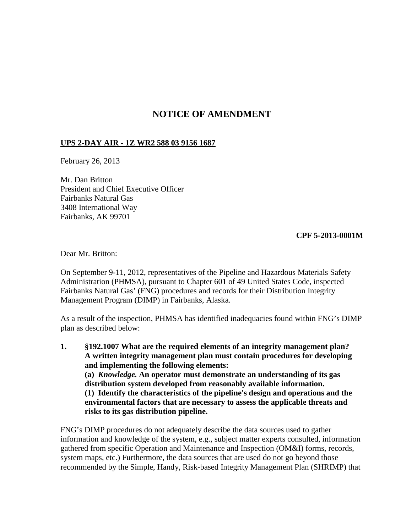## **NOTICE OF AMENDMENT**

## **UPS 2-DAY AIR - 1Z WR2 588 03 9156 1687**

February 26, 2013

Mr. Dan Britton President and Chief Executive Officer Fairbanks Natural Gas 3408 International Way Fairbanks, AK 99701

## **CPF 5-2013-0001M**

Dear Mr. Britton:

On September 9-11, 2012, representatives of the Pipeline and Hazardous Materials Safety Administration (PHMSA), pursuant to Chapter 601 of 49 United States Code, inspected Fairbanks Natural Gas' (FNG) procedures and records for their Distribution Integrity Management Program (DIMP) in Fairbanks, Alaska.

As a result of the inspection, PHMSA has identified inadequacies found within FNG's DIMP plan as described below:

**1. §192.1007 What are the required elements of an integrity management plan? A written integrity management plan must contain procedures for developing and implementing the following elements: (a)** *Knowledge.* **An operator must demonstrate an understanding of its gas distribution system developed from reasonably available information. (1) Identify the characteristics of the pipeline's design and operations and the environmental factors that are necessary to assess the applicable threats and risks to its gas distribution pipeline.**

FNG's DIMP procedures do not adequately describe the data sources used to gather information and knowledge of the system, e.g., subject matter experts consulted, information gathered from specific Operation and Maintenance and Inspection (OM&I) forms, records, system maps, etc.) Furthermore, the data sources that are used do not go beyond those recommended by the Simple, Handy, Risk-based Integrity Management Plan (SHRIMP) that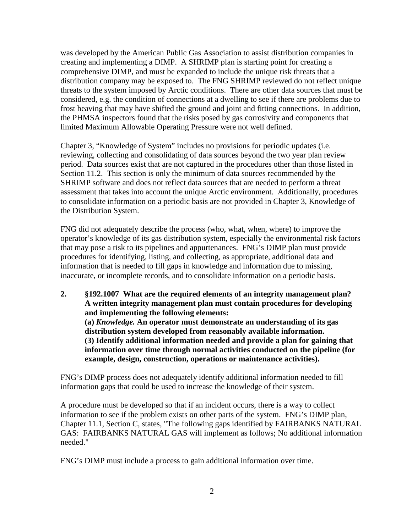was developed by the American Public Gas Association to assist distribution companies in creating and implementing a DIMP. A SHRIMP plan is starting point for creating a comprehensive DIMP, and must be expanded to include the unique risk threats that a distribution company may be exposed to. The FNG SHRIMP reviewed do not reflect unique threats to the system imposed by Arctic conditions. There are other data sources that must be considered, e.g. the condition of connections at a dwelling to see if there are problems due to frost heaving that may have shifted the ground and joint and fitting connections. In addition, the PHMSA inspectors found that the risks posed by gas corrosivity and components that limited Maximum Allowable Operating Pressure were not well defined.

Chapter 3, "Knowledge of System" includes no provisions for periodic updates (i.e. reviewing, collecting and consolidating of data sources beyond the two year plan review period. Data sources exist that are not captured in the procedures other than those listed in Section 11.2. This section is only the minimum of data sources recommended by the SHRIMP software and does not reflect data sources that are needed to perform a threat assessment that takes into account the unique Arctic environment. Additionally, procedures to consolidate information on a periodic basis are not provided in Chapter 3, Knowledge of the Distribution System.

FNG did not adequately describe the process (who, what, when, where) to improve the operator's knowledge of its gas distribution system, especially the environmental risk factors that may pose a risk to its pipelines and appurtenances. FNG's DIMP plan must provide procedures for identifying, listing, and collecting, as appropriate, additional data and information that is needed to fill gaps in knowledge and information due to missing, inaccurate, or incomplete records, and to consolidate information on a periodic basis.

**2. §192.1007 What are the required elements of an integrity management plan? A written integrity management plan must contain procedures for developing and implementing the following elements: (a)** *Knowledge.* **An operator must demonstrate an understanding of its gas distribution system developed from reasonably available information. (3) Identify additional information needed and provide a plan for gaining that information over time through normal activities conducted on the pipeline (for example, design, construction, operations or maintenance activities).** 

FNG's DIMP process does not adequately identify additional information needed to fill information gaps that could be used to increase the knowledge of their system.

A procedure must be developed so that if an incident occurs, there is a way to collect information to see if the problem exists on other parts of the system. FNG's DIMP plan, Chapter 11.1, Section C, states, "The following gaps identified by FAIRBANKS NATURAL GAS: FAIRBANKS NATURAL GAS will implement as follows; No additional information needed."

FNG's DIMP must include a process to gain additional information over time.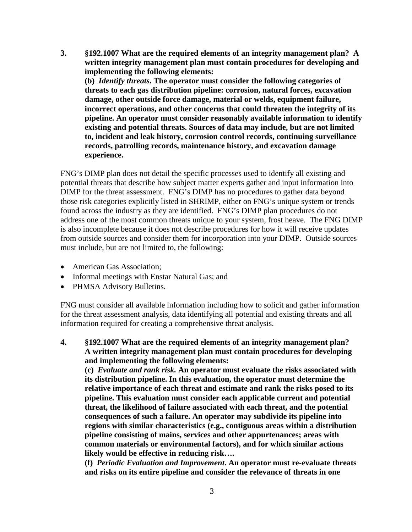**3. §192.1007 What are the required elements of an integrity management plan? A written integrity management plan must contain procedures for developing and implementing the following elements: (b)** *Identify threats***. The operator must consider the following categories of** 

**threats to each gas distribution pipeline: corrosion, natural forces, excavation damage, other outside force damage, material or welds, equipment failure, incorrect operations, and other concerns that could threaten the integrity of its pipeline. An operator must consider reasonably available information to identify existing and potential threats. Sources of data may include, but are not limited to, incident and leak history, corrosion control records, continuing surveillance records, patrolling records, maintenance history, and excavation damage experience.**

FNG's DIMP plan does not detail the specific processes used to identify all existing and potential threats that describe how subject matter experts gather and input information into DIMP for the threat assessment. FNG's DIMP has no procedures to gather data beyond those risk categories explicitly listed in SHRIMP, either on FNG's unique system or trends found across the industry as they are identified. FNG's DIMP plan procedures do not address one of the most common threats unique to your system, frost heave. The FNG DIMP is also incomplete because it does not describe procedures for how it will receive updates from outside sources and consider them for incorporation into your DIMP. Outside sources must include, but are not limited to, the following:

- American Gas Association:
- Informal meetings with Enstar Natural Gas; and
- PHMSA Advisory Bulletins.

FNG must consider all available information including how to solicit and gather information for the threat assessment analysis, data identifying all potential and existing threats and all information required for creating a comprehensive threat analysis.

**4. §192.1007 What are the required elements of an integrity management plan? A written integrity management plan must contain procedures for developing and implementing the following elements:** 

**(c)** *Evaluate and rank risk.* **An operator must evaluate the risks associated with its distribution pipeline. In this evaluation, the operator must determine the relative importance of each threat and estimate and rank the risks posed to its pipeline. This evaluation must consider each applicable current and potential threat, the likelihood of failure associated with each threat, and the potential consequences of such a failure. An operator may subdivide its pipeline into regions with similar characteristics (e.g., contiguous areas within a distribution pipeline consisting of mains, services and other appurtenances; areas with common materials or environmental factors), and for which similar actions likely would be effective in reducing risk….** 

**(f)** *Periodic Evaluation and Improvement***. An operator must re-evaluate threats and risks on its entire pipeline and consider the relevance of threats in one**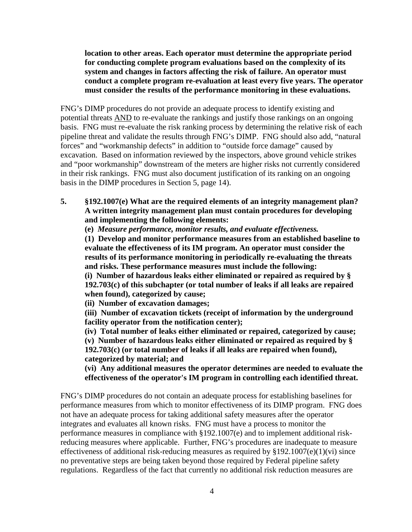**location to other areas. Each operator must determine the appropriate period for conducting complete program evaluations based on the complexity of its system and changes in factors affecting the risk of failure. An operator must conduct a complete program re-evaluation at least every five years. The operator must consider the results of the performance monitoring in these evaluations.** 

FNG's DIMP procedures do not provide an adequate process to identify existing and potential threats AND to re-evaluate the rankings and justify those rankings on an ongoing basis. FNG must re-evaluate the risk ranking process by determining the relative risk of each pipeline threat and validate the results through FNG's DIMP. FNG should also add, "natural forces" and "workmanship defects" in addition to "outside force damage" caused by excavation. Based on information reviewed by the inspectors, above ground vehicle strikes and "poor workmanship" downstream of the meters are higher risks not currently considered in their risk rankings. FNG must also document justification of its ranking on an ongoing basis in the DIMP procedures in Section 5, page 14).

**5. §192.1007(e) What are the required elements of an integrity management plan? A written integrity management plan must contain procedures for developing and implementing the following elements:** 

**(e)** *Measure performance, monitor results, and evaluate effectiveness.*

**(1) Develop and monitor performance measures from an established baseline to evaluate the effectiveness of its IM program. An operator must consider the results of its performance monitoring in periodically re-evaluating the threats and risks. These performance measures must include the following:**

**(i) Number of hazardous leaks either eliminated or repaired as required by § 192.703(c) of this subchapter (or total number of leaks if all leaks are repaired when found), categorized by cause;**

**(ii) Number of excavation damages;** 

**(iii) Number of excavation tickets (receipt of information by the underground facility operator from the notification center);**

**(iv) Total number of leaks either eliminated or repaired, categorized by cause; (v) Number of hazardous leaks either eliminated or repaired as required by §** 

**192.703(c) (or total number of leaks if all leaks are repaired when found), categorized by material; and** 

**(vi) Any additional measures the operator determines are needed to evaluate the effectiveness of the operator's IM program in controlling each identified threat.**

FNG's DIMP procedures do not contain an adequate process for establishing baselines for performance measures from which to monitor effectiveness of its DIMP program. FNG does not have an adequate process for taking additional safety measures after the operator integrates and evaluates all known risks. FNG must have a process to monitor the performance measures in compliance with §192.1007(e) and to implement additional riskreducing measures where applicable. Further, FNG's procedures are inadequate to measure effectiveness of additional risk-reducing measures as required by  $§192.1007(e)(1)(vi)$  since no preventative steps are being taken beyond those required by Federal pipeline safety regulations. Regardless of the fact that currently no additional risk reduction measures are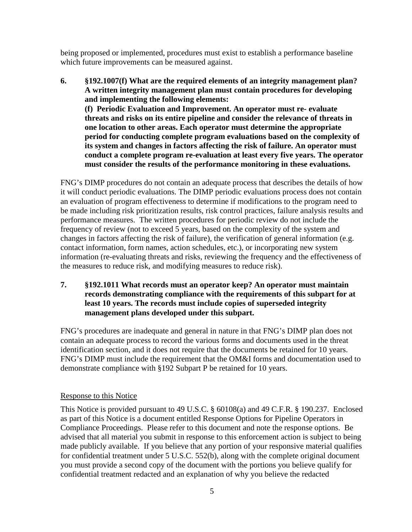being proposed or implemented, procedures must exist to establish a performance baseline which future improvements can be measured against.

**6. §192.1007(f) What are the required elements of an integrity management plan? A written integrity management plan must contain procedures for developing and implementing the following elements: (f) Periodic Evaluation and Improvement. An operator must re- evaluate threats and risks on its entire pipeline and consider the relevance of threats in one location to other areas. Each operator must determine the appropriate period for conducting complete program evaluations based on the complexity of its system and changes in factors affecting the risk of failure. An operator must conduct a complete program re-evaluation at least every five years. The operator must consider the results of the performance monitoring in these evaluations.** 

FNG's DIMP procedures do not contain an adequate process that describes the details of how it will conduct periodic evaluations. The DIMP periodic evaluations process does not contain an evaluation of program effectiveness to determine if modifications to the program need to be made including risk prioritization results, risk control practices, failure analysis results and performance measures. The written procedures for periodic review do not include the frequency of review (not to exceed 5 years, based on the complexity of the system and changes in factors affecting the risk of failure), the verification of general information (e.g. contact information, form names, action schedules, etc.), or incorporating new system information (re-evaluating threats and risks, reviewing the frequency and the effectiveness of the measures to reduce risk, and modifying measures to reduce risk).

**7. §192.1011 What records must an operator keep? An operator must maintain records demonstrating compliance with the requirements of this subpart for at least 10 years. The records must include copies of superseded integrity management plans developed under this subpart.**

FNG's procedures are inadequate and general in nature in that FNG's DIMP plan does not contain an adequate process to record the various forms and documents used in the threat identification section, and it does not require that the documents be retained for 10 years. FNG's DIMP must include the requirement that the OM&I forms and documentation used to demonstrate compliance with §192 Subpart P be retained for 10 years.

## Response to this Notice

This Notice is provided pursuant to 49 U.S.C. § 60108(a) and 49 C.F.R. § 190.237. Enclosed as part of this Notice is a document entitled Response Options for Pipeline Operators in Compliance Proceedings. Please refer to this document and note the response options. Be advised that all material you submit in response to this enforcement action is subject to being made publicly available. If you believe that any portion of your responsive material qualifies for confidential treatment under 5 U.S.C. 552(b), along with the complete original document you must provide a second copy of the document with the portions you believe qualify for confidential treatment redacted and an explanation of why you believe the redacted